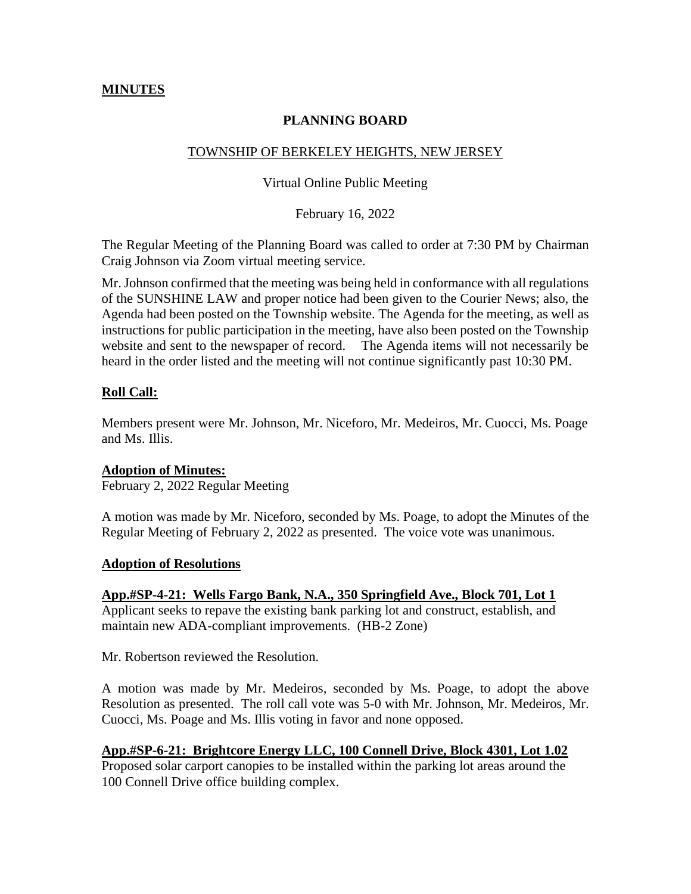# **MINUTES**

# **PLANNING BOARD**

# TOWNSHIP OF BERKELEY HEIGHTS, NEW JERSEY

#### Virtual Online Public Meeting

February 16, 2022

The Regular Meeting of the Planning Board was called to order at 7:30 PM by Chairman Craig Johnson via Zoom virtual meeting service.

Mr. Johnson confirmed that the meeting was being held in conformance with all regulations of the SUNSHINE LAW and proper notice had been given to the Courier News; also, the Agenda had been posted on the Township website. The Agenda for the meeting, as well as instructions for public participation in the meeting, have also been posted on the Township website and sent to the newspaper of record. The Agenda items will not necessarily be heard in the order listed and the meeting will not continue significantly past 10:30 PM.

### **Roll Call:**

Members present were Mr. Johnson, Mr. Niceforo, Mr. Medeiros, Mr. Cuocci, Ms. Poage and Ms. Illis.

### **Adoption of Minutes:**

February 2, 2022 Regular Meeting

A motion was made by Mr. Niceforo, seconded by Ms. Poage, to adopt the Minutes of the Regular Meeting of February 2, 2022 as presented. The voice vote was unanimous.

### **Adoption of Resolutions**

**App.#SP-4-21: Wells Fargo Bank, N.A., 350 Springfield Ave., Block 701, Lot 1** Applicant seeks to repave the existing bank parking lot and construct, establish, and maintain new ADA-compliant improvements. (HB-2 Zone)

Mr. Robertson reviewed the Resolution.

A motion was made by Mr. Medeiros, seconded by Ms. Poage, to adopt the above Resolution as presented. The roll call vote was 5-0 with Mr. Johnson, Mr. Medeiros, Mr. Cuocci, Ms. Poage and Ms. Illis voting in favor and none opposed.

### **App.#SP-6-21: Brightcore Energy LLC, 100 Connell Drive, Block 4301, Lot 1.02**

Proposed solar carport canopies to be installed within the parking lot areas around the 100 Connell Drive office building complex.